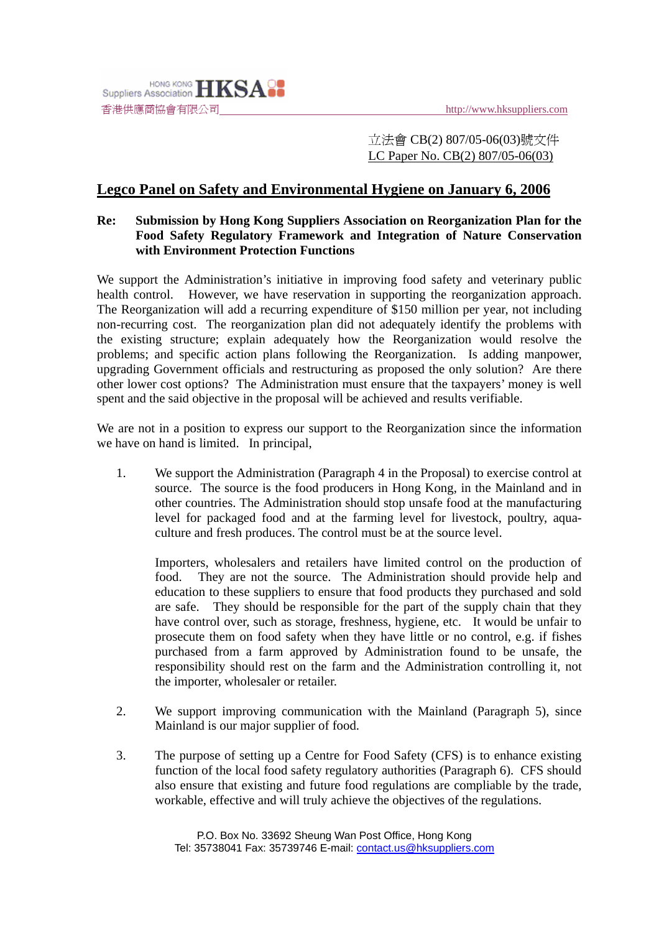

立法會 CB(2) 807/05-06(03)號文件 LC Paper No. CB(2) 807/05-06(03)

## **Legco Panel on Safety and Environmental Hygiene on January 6, 2006**

## **Re: Submission by Hong Kong Suppliers Association on Reorganization Plan for the Food Safety Regulatory Framework and Integration of Nature Conservation with Environment Protection Functions**

We support the Administration's initiative in improving food safety and veterinary public health control. However, we have reservation in supporting the reorganization approach. The Reorganization will add a recurring expenditure of \$150 million per year, not including non-recurring cost. The reorganization plan did not adequately identify the problems with the existing structure; explain adequately how the Reorganization would resolve the problems; and specific action plans following the Reorganization. Is adding manpower, upgrading Government officials and restructuring as proposed the only solution? Are there other lower cost options? The Administration must ensure that the taxpayers' money is well spent and the said objective in the proposal will be achieved and results verifiable.

We are not in a position to express our support to the Reorganization since the information we have on hand is limited. In principal,

1. We support the Administration (Paragraph 4 in the Proposal) to exercise control at source. The source is the food producers in Hong Kong, in the Mainland and in other countries. The Administration should stop unsafe food at the manufacturing level for packaged food and at the farming level for livestock, poultry, aquaculture and fresh produces. The control must be at the source level.

Importers, wholesalers and retailers have limited control on the production of food. They are not the source. The Administration should provide help and education to these suppliers to ensure that food products they purchased and sold are safe. They should be responsible for the part of the supply chain that they have control over, such as storage, freshness, hygiene, etc. It would be unfair to prosecute them on food safety when they have little or no control, e.g. if fishes purchased from a farm approved by Administration found to be unsafe, the responsibility should rest on the farm and the Administration controlling it, not the importer, wholesaler or retailer.

- 2. We support improving communication with the Mainland (Paragraph 5), since Mainland is our major supplier of food.
- 3. The purpose of setting up a Centre for Food Safety (CFS) is to enhance existing function of the local food safety regulatory authorities (Paragraph 6). CFS should also ensure that existing and future food regulations are compliable by the trade, workable, effective and will truly achieve the objectives of the regulations.